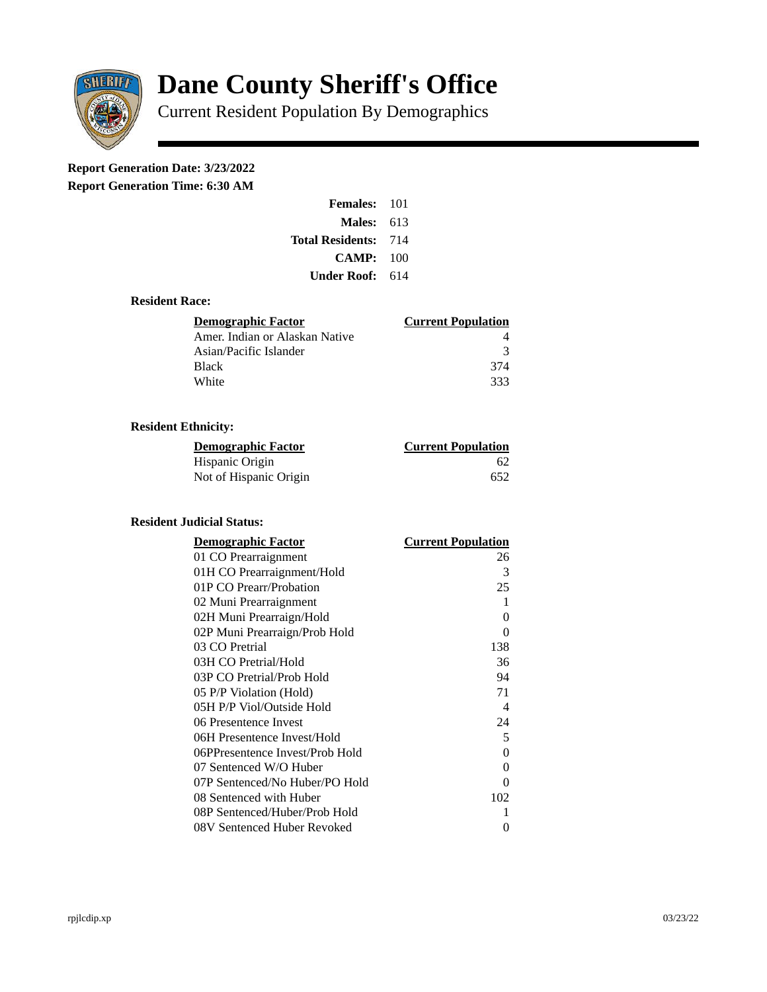

# **Dane County Sheriff's Office**

Current Resident Population By Demographics

# **Report Generation Date: 3/23/2022**

**Report Generation Time: 6:30 AM** 

| <b>Females: 101</b>         |     |
|-----------------------------|-----|
| Males:                      | 613 |
| <b>Total Residents: 714</b> |     |
| CAMP:                       | 100 |
| Under Roof:                 | 614 |

## **Resident Race:**

| Demographic Factor             | <b>Current Population</b> |
|--------------------------------|---------------------------|
| Amer. Indian or Alaskan Native |                           |
| Asian/Pacific Islander         | २                         |
| <b>Black</b>                   | 374                       |
| White                          | २२२                       |

# **Resident Ethnicity:**

| <u>Demographic Factor</u> | <u>Current Population</u> |
|---------------------------|---------------------------|
| Hispanic Origin           | 62                        |
| Not of Hispanic Origin    | 652                       |

#### **Resident Judicial Status:**

| <b>Demographic Factor</b>       | <b>Current Population</b> |
|---------------------------------|---------------------------|
| 01 CO Prearraignment            | 26                        |
| 01H CO Prearraignment/Hold      | 3                         |
| 01P CO Prearr/Probation         | 25                        |
| 02 Muni Prearraignment          | 1                         |
| 02H Muni Prearraign/Hold        | 0                         |
| 02P Muni Prearraign/Prob Hold   | 0                         |
| 03 CO Pretrial                  | 138                       |
| 03H CO Pretrial/Hold            | 36                        |
| 03P CO Pretrial/Prob Hold       | 94                        |
| 05 P/P Violation (Hold)         | 71                        |
| 05H P/P Viol/Outside Hold       | $\overline{\mathcal{A}}$  |
| 06 Presentence Invest           | 24                        |
| 06H Presentence Invest/Hold     | 5                         |
| 06PPresentence Invest/Prob Hold | 0                         |
| 07 Sentenced W/O Huber          | 0                         |
| 07P Sentenced/No Huber/PO Hold  | 0                         |
| 08 Sentenced with Huber         | 102                       |
| 08P Sentenced/Huber/Prob Hold   | 1                         |
| 08V Sentenced Huber Revoked     | 0                         |